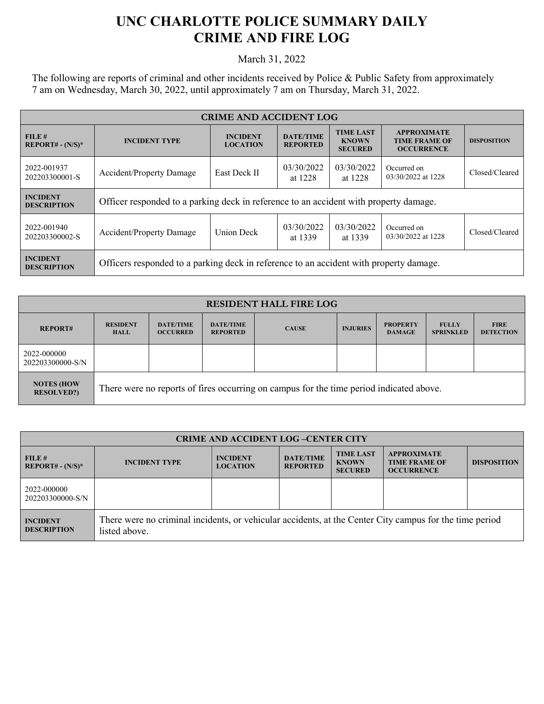## **UNC CHARLOTTE POLICE SUMMARY DAILY CRIME AND FIRE LOG**

March 31, 2022

The following are reports of criminal and other incidents received by Police & Public Safety from approximately 7 am on Wednesday, March 30, 2022, until approximately 7 am on Thursday, March 31, 2022.

| <b>CRIME AND ACCIDENT LOG</b>         |                                                                                                                         |                                    |                                     |                                                    |                                                                 |                    |
|---------------------------------------|-------------------------------------------------------------------------------------------------------------------------|------------------------------------|-------------------------------------|----------------------------------------------------|-----------------------------------------------------------------|--------------------|
| FILE#<br>$REPORT# - (N/S)*$           | <b>INCIDENT TYPE</b>                                                                                                    | <b>INCIDENT</b><br><b>LOCATION</b> | <b>DATE/TIME</b><br><b>REPORTED</b> | <b>TIME LAST</b><br><b>KNOWN</b><br><b>SECURED</b> | <b>APPROXIMATE</b><br><b>TIME FRAME OF</b><br><b>OCCURRENCE</b> | <b>DISPOSITION</b> |
| 2022-001937<br>202203300001-S         | 03/30/2022<br>03/30/2022<br>Occurred on<br><b>East Deck II</b><br><b>Accident/Property Damage</b><br>at 1228<br>at 1228 |                                    | 03/30/2022 at 1228                  | Closed/Cleared                                     |                                                                 |                    |
| <b>INCIDENT</b><br><b>DESCRIPTION</b> | Officer responded to a parking deck in reference to an accident with property damage.                                   |                                    |                                     |                                                    |                                                                 |                    |
| 2022-001940<br>202203300002-S         | Accident/Property Damage                                                                                                | <b>Union Deck</b>                  | 03/30/2022<br>at 1339               | 03/30/2022<br>at 1339                              | Occurred on<br>03/30/2022 at 1228                               | Closed/Cleared     |
| <b>INCIDENT</b><br><b>DESCRIPTION</b> | Officers responded to a parking deck in reference to an accident with property damage.                                  |                                    |                                     |                                                    |                                                                 |                    |

| <b>RESIDENT HALL FIRE LOG</b>          |                                                                                         |                                     |                                     |              |                 |                                  |                                  |                                 |
|----------------------------------------|-----------------------------------------------------------------------------------------|-------------------------------------|-------------------------------------|--------------|-----------------|----------------------------------|----------------------------------|---------------------------------|
| <b>REPORT#</b>                         | <b>RESIDENT</b><br><b>HALL</b>                                                          | <b>DATE/TIME</b><br><b>OCCURRED</b> | <b>DATE/TIME</b><br><b>REPORTED</b> | <b>CAUSE</b> | <b>INJURIES</b> | <b>PROPERTY</b><br><b>DAMAGE</b> | <b>FULLY</b><br><b>SPRINKLED</b> | <b>FIRE</b><br><b>DETECTION</b> |
| 2022-000000<br>202203300000-S/N        |                                                                                         |                                     |                                     |              |                 |                                  |                                  |                                 |
| <b>NOTES (HOW</b><br><b>RESOLVED?)</b> | There were no reports of fires occurring on campus for the time period indicated above. |                                     |                                     |              |                 |                                  |                                  |                                 |

| <b>CRIME AND ACCIDENT LOG-CENTER CITY</b> |                                                                                                                          |                                    |                                     |                                                    |                                                                 |                    |
|-------------------------------------------|--------------------------------------------------------------------------------------------------------------------------|------------------------------------|-------------------------------------|----------------------------------------------------|-----------------------------------------------------------------|--------------------|
| FILE#<br>$REPORT# - (N/S)*$               | <b>INCIDENT TYPE</b>                                                                                                     | <b>INCIDENT</b><br><b>LOCATION</b> | <b>DATE/TIME</b><br><b>REPORTED</b> | <b>TIME LAST</b><br><b>KNOWN</b><br><b>SECURED</b> | <b>APPROXIMATE</b><br><b>TIME FRAME OF</b><br><b>OCCURRENCE</b> | <b>DISPOSITION</b> |
| 2022-000000<br>202203300000-S/N           |                                                                                                                          |                                    |                                     |                                                    |                                                                 |                    |
| <b>INCIDENT</b><br><b>DESCRIPTION</b>     | There were no criminal incidents, or vehicular accidents, at the Center City campus for the time period<br>listed above. |                                    |                                     |                                                    |                                                                 |                    |